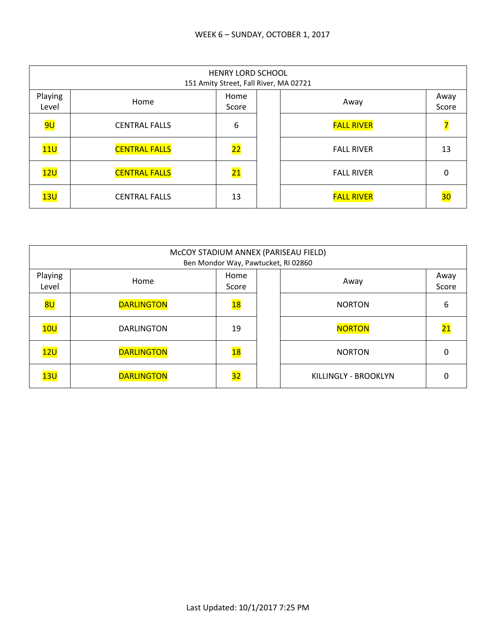|                  | HENRY LORD SCHOOL<br>151 Amity Street, Fall River, MA 02721 |                 |  |                   |               |  |  |  |
|------------------|-------------------------------------------------------------|-----------------|--|-------------------|---------------|--|--|--|
| Playing<br>Level | Home                                                        | Home<br>Score   |  | Away              | Away<br>Score |  |  |  |
| <mark>9U</mark>  | <b>CENTRAL FALLS</b>                                        | 6               |  | <b>FALL RIVER</b> |               |  |  |  |
| 11U              | <b>CENTRAL FALLS</b>                                        | $\overline{22}$ |  | <b>FALL RIVER</b> | 13            |  |  |  |
| 12U              | <b>CENTRAL FALLS</b>                                        | <b>21</b>       |  | <b>FALL RIVER</b> | 0             |  |  |  |
| 13U              | <b>CENTRAL FALLS</b>                                        | 13              |  | <b>FALL RIVER</b> | 30            |  |  |  |

|                  | McCOY STADIUM ANNEX (PARISEAU FIELD)<br>Ben Mondor Way, Pawtucket, RI 02860 |                 |  |                      |                 |  |  |  |
|------------------|-----------------------------------------------------------------------------|-----------------|--|----------------------|-----------------|--|--|--|
| Playing<br>Level | Home                                                                        | Home<br>Score   |  | Away                 | Away<br>Score   |  |  |  |
| 8U               | <b>DARLINGTON</b>                                                           | $\overline{18}$ |  | <b>NORTON</b>        | 6               |  |  |  |
| 10U              | <b>DARLINGTON</b>                                                           | 19              |  | <b>NORTON</b>        | $\overline{21}$ |  |  |  |
| 12U              | <b>DARLINGTON</b>                                                           | <b>18</b>       |  | <b>NORTON</b>        | 0               |  |  |  |
| 13U              | <b>DARLINGTON</b>                                                           | $\overline{32}$ |  | KILLINGLY - BROOKLYN | U               |  |  |  |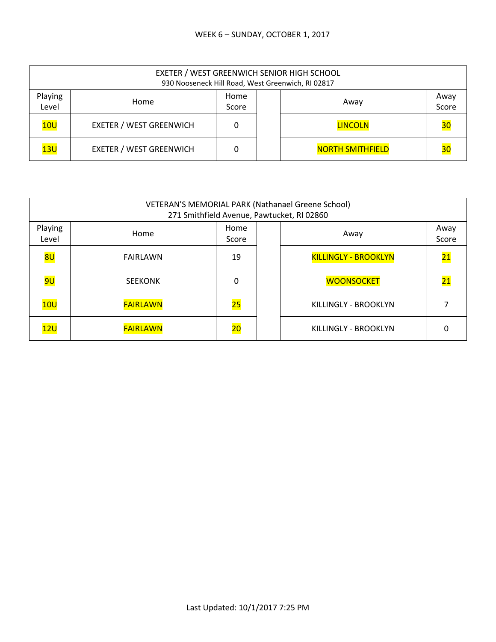|                  | EXETER / WEST GREENWICH SENIOR HIGH SCHOOL<br>930 Nooseneck Hill Road, West Greenwich, RI 02817 |  |      |                         |    |  |  |  |
|------------------|-------------------------------------------------------------------------------------------------|--|------|-------------------------|----|--|--|--|
| Playing<br>Level | Home                                                                                            |  | Away | Away<br>Score           |    |  |  |  |
| 10U              | <b>EXETER / WEST GREENWICH</b>                                                                  |  |      | <b>LINCOLN</b>          | 30 |  |  |  |
| 13U              | <b>EXETER / WEST GREENWICH</b>                                                                  |  |      | <b>NORTH SMITHFIELD</b> | 30 |  |  |  |

|                  | VETERAN'S MEMORIAL PARK (Nathanael Greene School)<br>271 Smithfield Avenue, Pawtucket, RI 02860 |                          |  |                             |                 |  |  |
|------------------|-------------------------------------------------------------------------------------------------|--------------------------|--|-----------------------------|-----------------|--|--|
| Playing<br>Level | Home                                                                                            | Home<br>Score            |  | Away                        | Away<br>Score   |  |  |
| 8 <sub>U</sub>   | FAIRLAWN                                                                                        | 19                       |  | <b>KILLINGLY - BROOKLYN</b> | $\overline{21}$ |  |  |
| <mark>9U</mark>  | <b>SEEKONK</b>                                                                                  | 0                        |  | <b>WOONSOCKET</b>           | $\overline{21}$ |  |  |
| 10U              | <b>FAIRLAWN</b>                                                                                 | 25                       |  | KILLINGLY - BROOKLYN        |                 |  |  |
| 12U              | <b>FAIRLAWN</b>                                                                                 | $\overline{\mathbf{20}}$ |  | KILLINGLY - BROOKLYN        | 0               |  |  |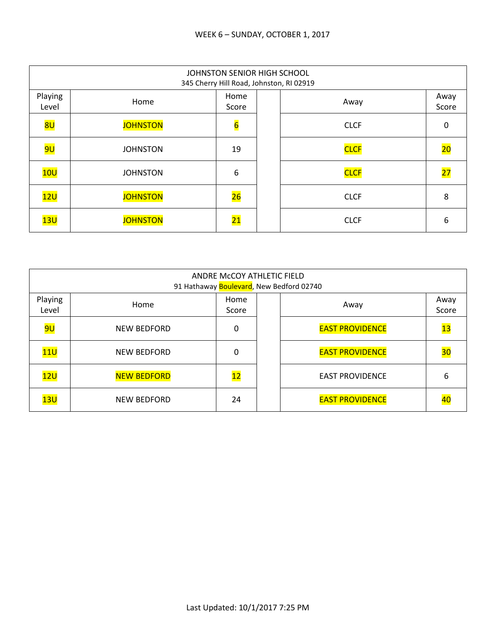|                  | JOHNSTON SENIOR HIGH SCHOOL<br>345 Cherry Hill Road, Johnston, RI 02919 |                 |  |             |                 |  |  |  |
|------------------|-------------------------------------------------------------------------|-----------------|--|-------------|-----------------|--|--|--|
| Playing<br>Level | Home                                                                    | Home<br>Score   |  | Away        | Away<br>Score   |  |  |  |
| 8U               | <b>JOHNSTON</b>                                                         | $6\overline{6}$ |  | <b>CLCF</b> | 0               |  |  |  |
| <mark>9U</mark>  | <b>JOHNSTON</b>                                                         | 19              |  | <b>CLCF</b> | 20              |  |  |  |
| 10U              | <b>JOHNSTON</b>                                                         | 6               |  | <b>CLCF</b> | $\overline{27}$ |  |  |  |
| 12U              | <b>JOHNSTON</b>                                                         | 26              |  | <b>CLCF</b> | 8               |  |  |  |
| 13U              | <b>JOHNSTON</b>                                                         | $\overline{21}$ |  | <b>CLCF</b> | 6               |  |  |  |

|                  | ANDRE McCOY ATHLETIC FIELD<br>91 Hathaway Boulevard, New Bedford 02740 |               |  |                        |               |  |  |  |
|------------------|------------------------------------------------------------------------|---------------|--|------------------------|---------------|--|--|--|
| Playing<br>Level | Home                                                                   | Home<br>Score |  | Away                   | Away<br>Score |  |  |  |
| <mark>9U</mark>  | <b>NEW BEDFORD</b>                                                     | 0             |  | <b>EAST PROVIDENCE</b> | 13            |  |  |  |
| 11 <sub>U</sub>  | <b>NEW BEDFORD</b>                                                     | 0             |  | <b>EAST PROVIDENCE</b> | 30            |  |  |  |
| 12U              | <b>NEW BEDFORD</b>                                                     | 12            |  | <b>EAST PROVIDENCE</b> | 6             |  |  |  |
| 13U              | <b>NEW BEDFORD</b>                                                     | 24            |  | <b>EAST PROVIDENCE</b> |               |  |  |  |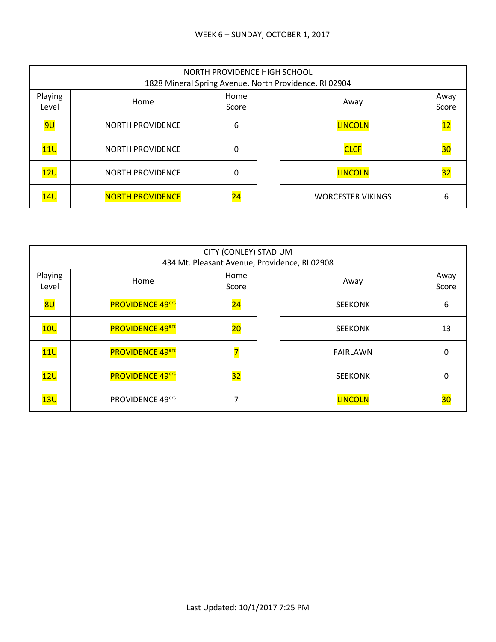|                  | NORTH PROVIDENCE HIGH SCHOOL<br>1828 Mineral Spring Avenue, North Providence, RI 02904 |               |  |                          |               |  |  |  |
|------------------|----------------------------------------------------------------------------------------|---------------|--|--------------------------|---------------|--|--|--|
| Playing<br>Level | Home                                                                                   | Home<br>Score |  | Away                     | Away<br>Score |  |  |  |
| <mark>9U</mark>  | <b>NORTH PROVIDENCE</b>                                                                | 6             |  | <b>LINCOLN</b>           | <u> 12</u>    |  |  |  |
| 11U              | <b>NORTH PROVIDENCE</b>                                                                | 0             |  | <b>CLCF</b>              | 30            |  |  |  |
| 12 <sub>U</sub>  | <b>NORTH PROVIDENCE</b>                                                                | 0             |  | <b>LINCOLN</b>           | <u>32</u>     |  |  |  |
| 14 <sub>U</sub>  | <b>NORTH PROVIDENCE</b>                                                                | 24            |  | <b>WORCESTER VIKINGS</b> | 6             |  |  |  |

|                  | CITY (CONLEY) STADIUM<br>434 Mt. Pleasant Avenue, Providence, RI 02908 |                 |  |                 |               |  |  |  |
|------------------|------------------------------------------------------------------------|-----------------|--|-----------------|---------------|--|--|--|
| Playing<br>Level | Home                                                                   | Home<br>Score   |  | Away            | Away<br>Score |  |  |  |
| 8U               | <b>PROVIDENCE 49ers</b>                                                | $\overline{24}$ |  | <b>SEEKONK</b>  | 6             |  |  |  |
| 10U              | <b>PROVIDENCE 49ers</b>                                                | $\overline{20}$ |  | <b>SEEKONK</b>  | 13            |  |  |  |
| 11 <sub>U</sub>  | <b>PROVIDENCE 49ers</b>                                                | 7               |  | <b>FAIRLAWN</b> | 0             |  |  |  |
| 12U              | <b>PROVIDENCE 49ers</b>                                                | 32              |  | <b>SEEKONK</b>  | 0             |  |  |  |
| 13U              | PROVIDENCE 49ers                                                       |                 |  | <b>LINCOLN</b>  | 30            |  |  |  |